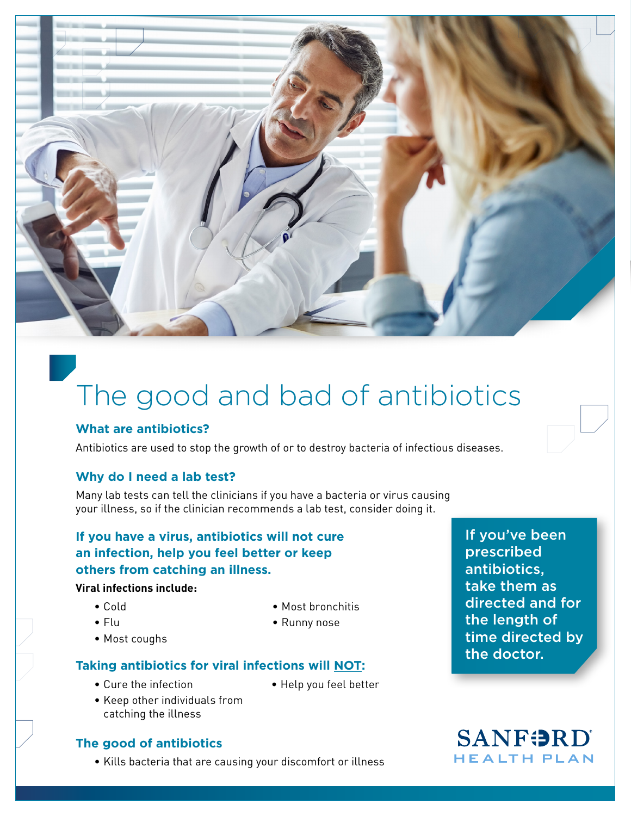

# The good and bad of antibiotics

### **What are antibiotics?**

Antibiotics are used to stop the growth of or to destroy bacteria of infectious diseases.

# **Why do I need a lab test?**

Many lab tests can tell the clinicians if you have a bacteria or virus causing your illness, so if the clinician recommends a lab test, consider doing it.

# **If you have a virus, antibiotics will not cure an infection, help you feel better or keep others from catching an illness.**

#### **Viral infections include:**

- Cold
- Flu
- Most coughs
- Most bronchitis
- Runny nose

# **Taking antibiotics for viral infections will NOT:**

- Cure the infection
- Help you feel better
- Keep other individuals from catching the illness

# **The good of antibiotics**

• Kills bacteria that are causing your discomfort or illness

If you've been prescribed antibiotics, take them as directed and for the length of time directed by the doctor.